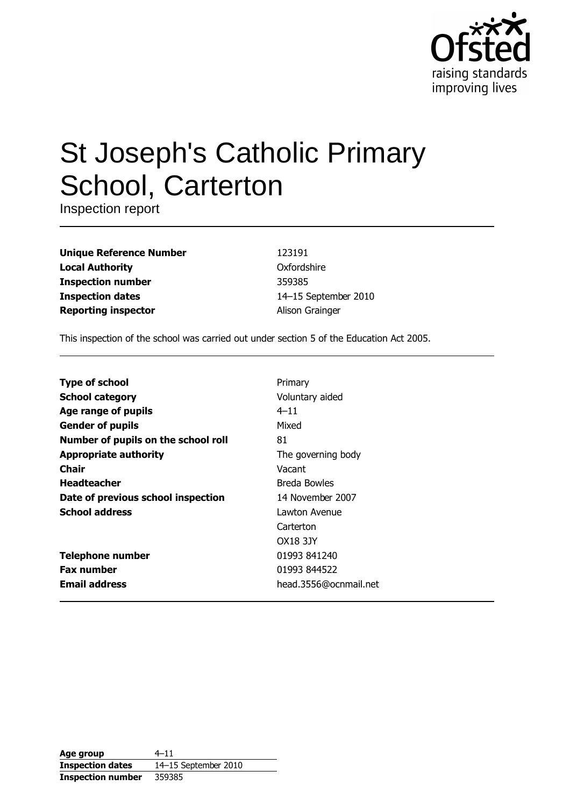

# **St Joseph's Catholic Primary** School, Carterton

Inspection report

| <b>Unique Reference Number</b> |
|--------------------------------|
| <b>Local Authority</b>         |
| <b>Inspection number</b>       |
| <b>Inspection dates</b>        |
| <b>Reporting inspector</b>     |

123191 Oxfordshire 359385 14-15 September 2010 Alison Grainger

This inspection of the school was carried out under section 5 of the Education Act 2005.

| <b>Type of school</b>               | Primary               |
|-------------------------------------|-----------------------|
| <b>School category</b>              | Voluntary aided       |
| Age range of pupils                 | $4 - 11$              |
| <b>Gender of pupils</b>             | Mixed                 |
| Number of pupils on the school roll | 81                    |
| <b>Appropriate authority</b>        | The governing body    |
| Chair                               | Vacant                |
| <b>Headteacher</b>                  | <b>Breda Bowles</b>   |
| Date of previous school inspection  | 14 November 2007      |
| <b>School address</b>               | Lawton Avenue         |
|                                     | Carterton             |
|                                     | OX18 3JY              |
| <b>Telephone number</b>             | 01993 841240          |
| <b>Fax number</b>                   | 01993 844522          |
| <b>Email address</b>                | head.3556@ocnmail.net |

| Age group                | $4 - 11$             |
|--------------------------|----------------------|
| <b>Inspection dates</b>  | 14-15 September 2010 |
| <b>Inspection number</b> | 359385               |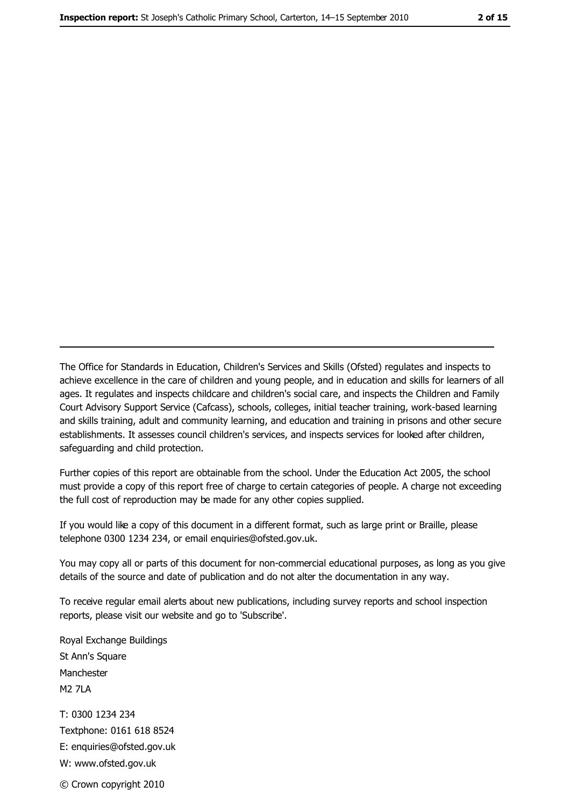The Office for Standards in Education, Children's Services and Skills (Ofsted) regulates and inspects to achieve excellence in the care of children and young people, and in education and skills for learners of all ages. It regulates and inspects childcare and children's social care, and inspects the Children and Family Court Advisory Support Service (Cafcass), schools, colleges, initial teacher training, work-based learning and skills training, adult and community learning, and education and training in prisons and other secure establishments. It assesses council children's services, and inspects services for looked after children, safeguarding and child protection.

Further copies of this report are obtainable from the school. Under the Education Act 2005, the school must provide a copy of this report free of charge to certain categories of people. A charge not exceeding the full cost of reproduction may be made for any other copies supplied.

If you would like a copy of this document in a different format, such as large print or Braille, please telephone 0300 1234 234, or email enquiries@ofsted.gov.uk.

You may copy all or parts of this document for non-commercial educational purposes, as long as you give details of the source and date of publication and do not alter the documentation in any way.

To receive regular email alerts about new publications, including survey reports and school inspection reports, please visit our website and go to 'Subscribe'.

Royal Exchange Buildings St Ann's Square Manchester **M2 7I A** T: 0300 1234 234 Textphone: 0161 618 8524 E: enquiries@ofsted.gov.uk W: www.ofsted.gov.uk © Crown copyright 2010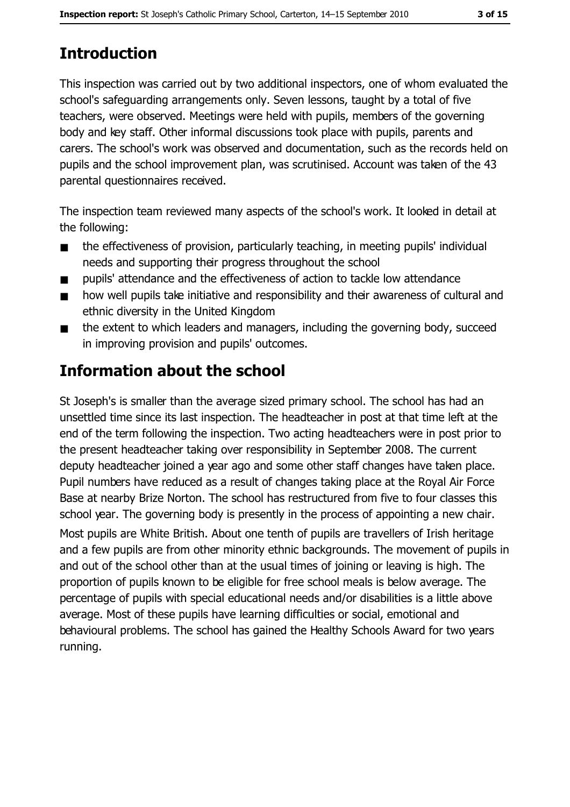# **Introduction**

This inspection was carried out by two additional inspectors, one of whom evaluated the school's safequarding arrangements only. Seven lessons, taught by a total of five teachers, were observed. Meetings were held with pupils, members of the governing body and key staff. Other informal discussions took place with pupils, parents and carers. The school's work was observed and documentation, such as the records held on pupils and the school improvement plan, was scrutinised. Account was taken of the 43 parental questionnaires received.

The inspection team reviewed many aspects of the school's work. It looked in detail at the following:

- the effectiveness of provision, particularly teaching, in meeting pupils' individual  $\blacksquare$ needs and supporting their progress throughout the school
- pupils' attendance and the effectiveness of action to tackle low attendance  $\blacksquare$
- how well pupils take initiative and responsibility and their awareness of cultural and  $\blacksquare$ ethnic diversity in the United Kingdom
- the extent to which leaders and managers, including the governing body, succeed  $\blacksquare$ in improving provision and pupils' outcomes.

# **Information about the school**

St Joseph's is smaller than the average sized primary school. The school has had an unsettled time since its last inspection. The headteacher in post at that time left at the end of the term following the inspection. Two acting headteachers were in post prior to the present headteacher taking over responsibility in September 2008. The current deputy headteacher joined a year ago and some other staff changes have taken place. Pupil numbers have reduced as a result of changes taking place at the Royal Air Force Base at nearby Brize Norton. The school has restructured from five to four classes this school year. The governing body is presently in the process of appointing a new chair. Most pupils are White British. About one tenth of pupils are travellers of Irish heritage and a few pupils are from other minority ethnic backgrounds. The movement of pupils in and out of the school other than at the usual times of joining or leaving is high. The proportion of pupils known to be eligible for free school meals is below average. The percentage of pupils with special educational needs and/or disabilities is a little above average. Most of these pupils have learning difficulties or social, emotional and behavioural problems. The school has gained the Healthy Schools Award for two years running.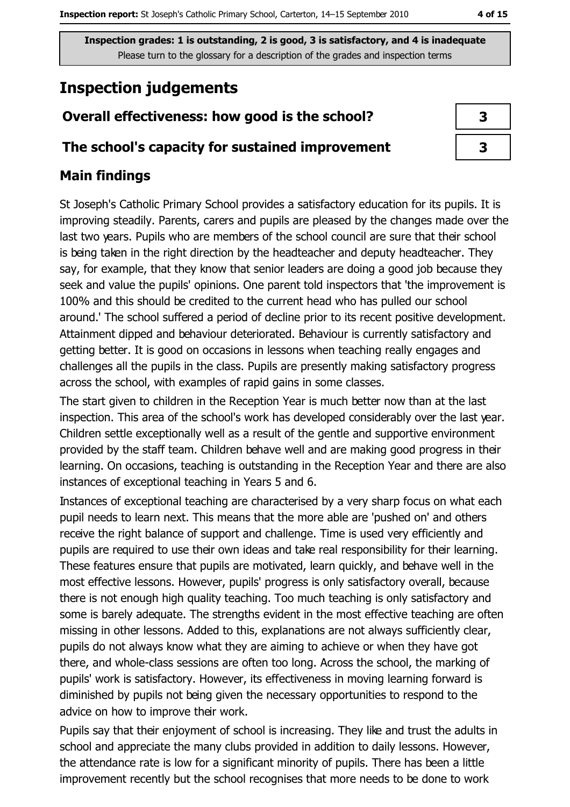# **Inspection judgements**

# Overall effectiveness: how good is the school?

## The school's capacity for sustained improvement

## **Main findings**

St Joseph's Catholic Primary School provides a satisfactory education for its pupils. It is improving steadily. Parents, carers and pupils are pleased by the changes made over the last two years. Pupils who are members of the school council are sure that their school is being taken in the right direction by the headteacher and deputy headteacher. They say, for example, that they know that senior leaders are doing a good job because they seek and value the pupils' opinions. One parent told inspectors that 'the improvement is 100% and this should be credited to the current head who has pulled our school around.' The school suffered a period of decline prior to its recent positive development. Attainment dipped and behaviour deteriorated. Behaviour is currently satisfactory and getting better. It is good on occasions in lessons when teaching really engages and challenges all the pupils in the class. Pupils are presently making satisfactory progress across the school, with examples of rapid gains in some classes.

The start given to children in the Reception Year is much better now than at the last inspection. This area of the school's work has developed considerably over the last year. Children settle exceptionally well as a result of the gentle and supportive environment provided by the staff team. Children behave well and are making good progress in their learning. On occasions, teaching is outstanding in the Reception Year and there are also instances of exceptional teaching in Years 5 and 6.

Instances of exceptional teaching are characterised by a very sharp focus on what each pupil needs to learn next. This means that the more able are 'pushed on' and others receive the right balance of support and challenge. Time is used very efficiently and pupils are required to use their own ideas and take real responsibility for their learning. These features ensure that pupils are motivated, learn quickly, and behave well in the most effective lessons. However, pupils' progress is only satisfactory overall, because there is not enough high quality teaching. Too much teaching is only satisfactory and some is barely adequate. The strengths evident in the most effective teaching are often missing in other lessons. Added to this, explanations are not always sufficiently clear, pupils do not always know what they are aiming to achieve or when they have got there, and whole-class sessions are often too long. Across the school, the marking of pupils' work is satisfactory. However, its effectiveness in moving learning forward is diminished by pupils not being given the necessary opportunities to respond to the advice on how to improve their work.

Pupils say that their enjoyment of school is increasing. They like and trust the adults in school and appreciate the many clubs provided in addition to daily lessons. However, the attendance rate is low for a significant minority of pupils. There has been a little improvement recently but the school recognises that more needs to be done to work

| 3 |  |
|---|--|
| 3 |  |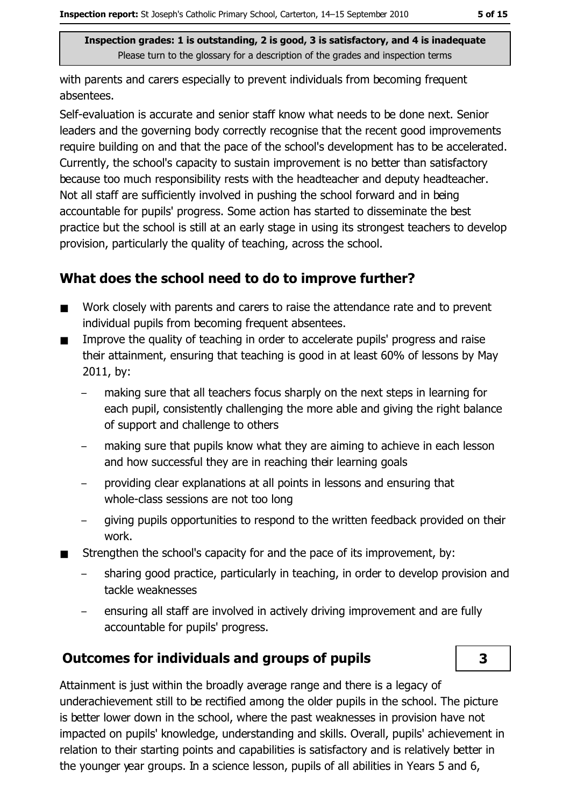with parents and carers especially to prevent individuals from becoming frequent absentees.

Self-evaluation is accurate and senior staff know what needs to be done next. Senior leaders and the governing body correctly recognise that the recent good improvements require building on and that the pace of the school's development has to be accelerated. Currently, the school's capacity to sustain improvement is no better than satisfactory because too much responsibility rests with the headteacher and deputy headteacher. Not all staff are sufficiently involved in pushing the school forward and in being accountable for pupils' progress. Some action has started to disseminate the best practice but the school is still at an early stage in using its strongest teachers to develop provision, particularly the quality of teaching, across the school.

# What does the school need to do to improve further?

- Work closely with parents and carers to raise the attendance rate and to prevent  $\blacksquare$ individual pupils from becoming frequent absentees.
- Improve the quality of teaching in order to accelerate pupils' progress and raise  $\blacksquare$ their attainment, ensuring that teaching is good in at least 60% of lessons by May 2011, by:
	- making sure that all teachers focus sharply on the next steps in learning for each pupil, consistently challenging the more able and giving the right balance of support and challenge to others
	- making sure that pupils know what they are aiming to achieve in each lesson and how successful they are in reaching their learning goals
	- providing clear explanations at all points in lessons and ensuring that whole-class sessions are not too long
	- giving pupils opportunities to respond to the written feedback provided on their  $$ work.
- Strengthen the school's capacity for and the pace of its improvement, by:  $\blacksquare$ 
	- sharing good practice, particularly in teaching, in order to develop provision and tackle weaknesses
	- ensuring all staff are involved in actively driving improvement and are fully accountable for pupils' progress.

# Outcomes for individuals and groups of pupils

3

Attainment is just within the broadly average range and there is a legacy of underachievement still to be rectified among the older pupils in the school. The picture is better lower down in the school, where the past weaknesses in provision have not impacted on pupils' knowledge, understanding and skills. Overall, pupils' achievement in relation to their starting points and capabilities is satisfactory and is relatively better in the younger year groups. In a science lesson, pupils of all abilities in Years 5 and 6,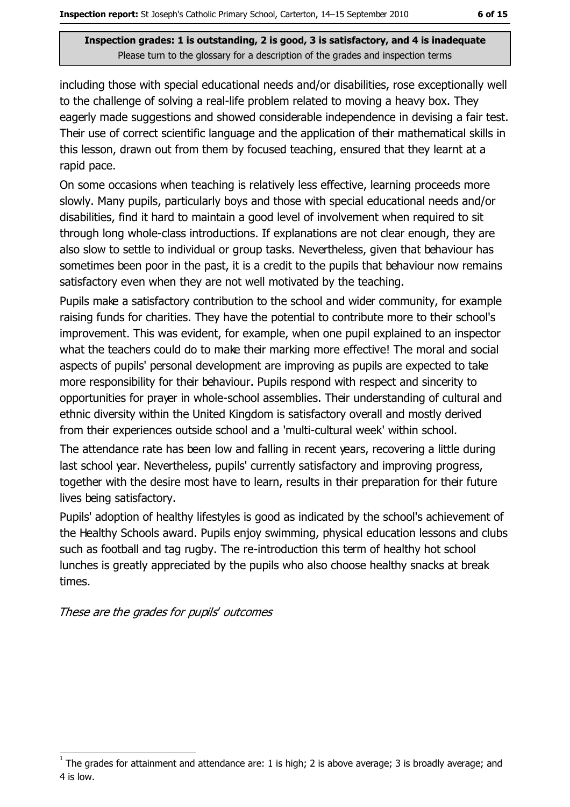including those with special educational needs and/or disabilities, rose exceptionally well to the challenge of solving a real-life problem related to moving a heavy box. They eagerly made suggestions and showed considerable independence in devising a fair test. Their use of correct scientific language and the application of their mathematical skills in this lesson, drawn out from them by focused teaching, ensured that they learnt at a rapid pace.

On some occasions when teaching is relatively less effective, learning proceeds more slowly. Many pupils, particularly boys and those with special educational needs and/or disabilities, find it hard to maintain a good level of involvement when required to sit through long whole-class introductions. If explanations are not clear enough, they are also slow to settle to individual or group tasks. Nevertheless, given that behaviour has sometimes been poor in the past, it is a credit to the pupils that behaviour now remains satisfactory even when they are not well motivated by the teaching.

Pupils make a satisfactory contribution to the school and wider community, for example raising funds for charities. They have the potential to contribute more to their school's improvement. This was evident, for example, when one pupil explained to an inspector what the teachers could do to make their marking more effective! The moral and social aspects of pupils' personal development are improving as pupils are expected to take more responsibility for their behaviour. Pupils respond with respect and sincerity to opportunities for prayer in whole-school assemblies. Their understanding of cultural and ethnic diversity within the United Kingdom is satisfactory overall and mostly derived from their experiences outside school and a 'multi-cultural week' within school.

The attendance rate has been low and falling in recent years, recovering a little during last school year. Nevertheless, pupils' currently satisfactory and improving progress, together with the desire most have to learn, results in their preparation for their future lives being satisfactory.

Pupils' adoption of healthy lifestyles is good as indicated by the school's achievement of the Healthy Schools award. Pupils enjoy swimming, physical education lessons and clubs such as football and tag rugby. The re-introduction this term of healthy hot school lunches is greatly appreciated by the pupils who also choose healthy snacks at break times.

These are the grades for pupils' outcomes

The grades for attainment and attendance are: 1 is high; 2 is above average; 3 is broadly average; and 4 is low.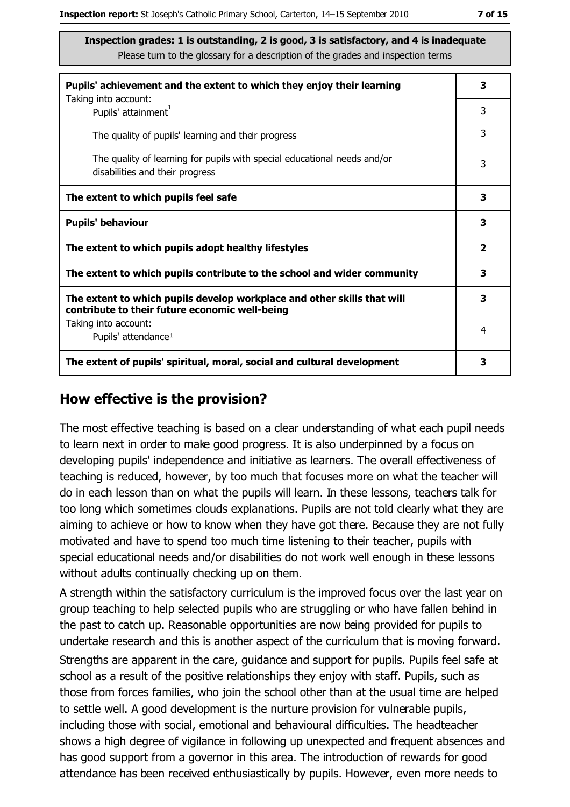| Pupils' achievement and the extent to which they enjoy their learning                                                     | 3 |
|---------------------------------------------------------------------------------------------------------------------------|---|
| Taking into account:<br>Pupils' attainment <sup>1</sup>                                                                   | 3 |
| The quality of pupils' learning and their progress                                                                        | 3 |
| The quality of learning for pupils with special educational needs and/or<br>disabilities and their progress               | 3 |
| The extent to which pupils feel safe                                                                                      | 3 |
| <b>Pupils' behaviour</b>                                                                                                  | 3 |
| The extent to which pupils adopt healthy lifestyles                                                                       | 2 |
| The extent to which pupils contribute to the school and wider community                                                   |   |
| The extent to which pupils develop workplace and other skills that will<br>contribute to their future economic well-being | 3 |
| Taking into account:<br>Pupils' attendance <sup>1</sup>                                                                   | 4 |
| The extent of pupils' spiritual, moral, social and cultural development                                                   | 3 |

#### How effective is the provision?

The most effective teaching is based on a clear understanding of what each pupil needs to learn next in order to make good progress. It is also underpinned by a focus on developing pupils' independence and initiative as learners. The overall effectiveness of teaching is reduced, however, by too much that focuses more on what the teacher will do in each lesson than on what the pupils will learn. In these lessons, teachers talk for too long which sometimes clouds explanations. Pupils are not told clearly what they are aiming to achieve or how to know when they have got there. Because they are not fully motivated and have to spend too much time listening to their teacher, pupils with special educational needs and/or disabilities do not work well enough in these lessons without adults continually checking up on them.

A strength within the satisfactory curriculum is the improved focus over the last year on group teaching to help selected pupils who are struggling or who have fallen behind in the past to catch up. Reasonable opportunities are now being provided for pupils to undertake research and this is another aspect of the curriculum that is moving forward.

Strengths are apparent in the care, guidance and support for pupils. Pupils feel safe at school as a result of the positive relationships they enjoy with staff. Pupils, such as those from forces families, who join the school other than at the usual time are helped to settle well. A good development is the nurture provision for vulnerable pupils, including those with social, emotional and behavioural difficulties. The headteacher shows a high degree of vigilance in following up unexpected and frequent absences and has good support from a governor in this area. The introduction of rewards for good attendance has been received enthusiastically by pupils. However, even more needs to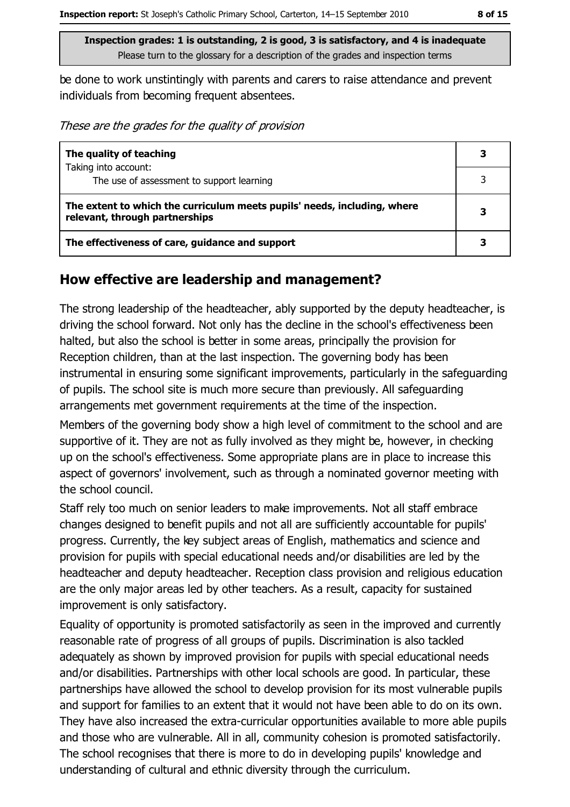be done to work unstintingly with parents and carers to raise attendance and prevent individuals from becoming frequent absentees.

These are the grades for the quality of provision

| The quality of teaching                                                                                    |  |
|------------------------------------------------------------------------------------------------------------|--|
| Taking into account:<br>The use of assessment to support learning                                          |  |
| The extent to which the curriculum meets pupils' needs, including, where<br>relevant, through partnerships |  |
| The effectiveness of care, guidance and support                                                            |  |

## How effective are leadership and management?

The strong leadership of the headteacher, ably supported by the deputy headteacher, is driving the school forward. Not only has the decline in the school's effectiveness been halted, but also the school is better in some areas, principally the provision for Reception children, than at the last inspection. The governing body has been instrumental in ensuring some significant improvements, particularly in the safeguarding of pupils. The school site is much more secure than previously. All safeguarding arrangements met government requirements at the time of the inspection.

Members of the governing body show a high level of commitment to the school and are supportive of it. They are not as fully involved as they might be, however, in checking up on the school's effectiveness. Some appropriate plans are in place to increase this aspect of governors' involvement, such as through a nominated governor meeting with the school council.

Staff rely too much on senior leaders to make improvements. Not all staff embrace changes designed to benefit pupils and not all are sufficiently accountable for pupils' progress. Currently, the key subject areas of English, mathematics and science and provision for pupils with special educational needs and/or disabilities are led by the headteacher and deputy headteacher. Reception class provision and religious education are the only major areas led by other teachers. As a result, capacity for sustained improvement is only satisfactory.

Equality of opportunity is promoted satisfactorily as seen in the improved and currently reasonable rate of progress of all groups of pupils. Discrimination is also tackled adequately as shown by improved provision for pupils with special educational needs and/or disabilities. Partnerships with other local schools are good. In particular, these partnerships have allowed the school to develop provision for its most vulnerable pupils and support for families to an extent that it would not have been able to do on its own. They have also increased the extra-curricular opportunities available to more able pupils and those who are vulnerable. All in all, community cohesion is promoted satisfactorily. The school recognises that there is more to do in developing pupils' knowledge and understanding of cultural and ethnic diversity through the curriculum.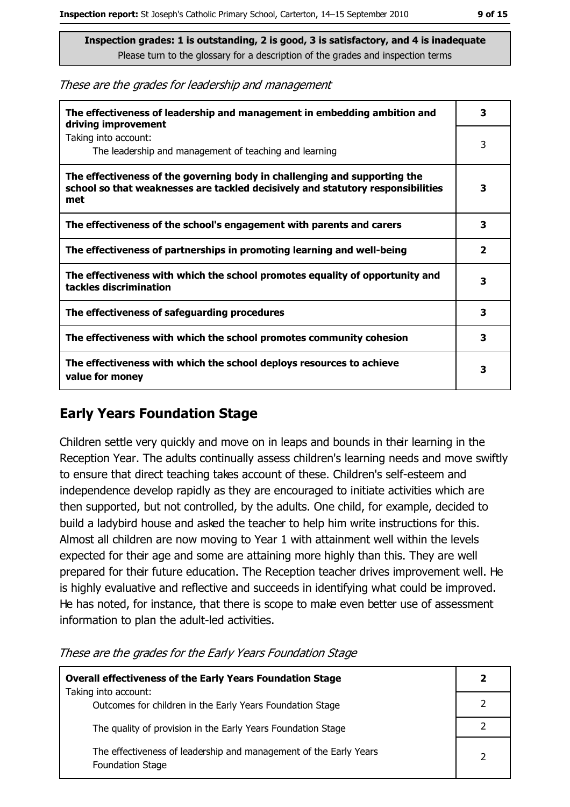These are the grades for leadership and management

| The effectiveness of leadership and management in embedding ambition and<br>driving improvement                                                                     | 3            |
|---------------------------------------------------------------------------------------------------------------------------------------------------------------------|--------------|
| Taking into account:<br>The leadership and management of teaching and learning                                                                                      | 3            |
| The effectiveness of the governing body in challenging and supporting the<br>school so that weaknesses are tackled decisively and statutory responsibilities<br>met | 3            |
| The effectiveness of the school's engagement with parents and carers                                                                                                | 3            |
| The effectiveness of partnerships in promoting learning and well-being                                                                                              | $\mathbf{2}$ |
| The effectiveness with which the school promotes equality of opportunity and<br>tackles discrimination                                                              | з            |
| The effectiveness of safeguarding procedures                                                                                                                        | з            |
| The effectiveness with which the school promotes community cohesion                                                                                                 | 3            |
| The effectiveness with which the school deploys resources to achieve<br>value for money                                                                             | 3            |

## **Early Years Foundation Stage**

Children settle very quickly and move on in leaps and bounds in their learning in the Reception Year. The adults continually assess children's learning needs and move swiftly to ensure that direct teaching takes account of these. Children's self-esteem and independence develop rapidly as they are encouraged to initiate activities which are then supported, but not controlled, by the adults. One child, for example, decided to build a ladybird house and asked the teacher to help him write instructions for this. Almost all children are now moving to Year 1 with attainment well within the levels expected for their age and some are attaining more highly than this. They are well prepared for their future education. The Reception teacher drives improvement well. He is highly evaluative and reflective and succeeds in identifying what could be improved. He has noted, for instance, that there is scope to make even better use of assessment information to plan the adult-led activities.

**Overall effectiveness of the Early Years Foundation Stage**  $\overline{2}$ Taking into account:  $\overline{2}$ Outcomes for children in the Early Years Foundation Stage  $\overline{2}$ The quality of provision in the Early Years Foundation Stage The effectiveness of leadership and management of the Early Years  $\overline{2}$ **Foundation Stage** 

These are the grades for the Early Years Foundation Stage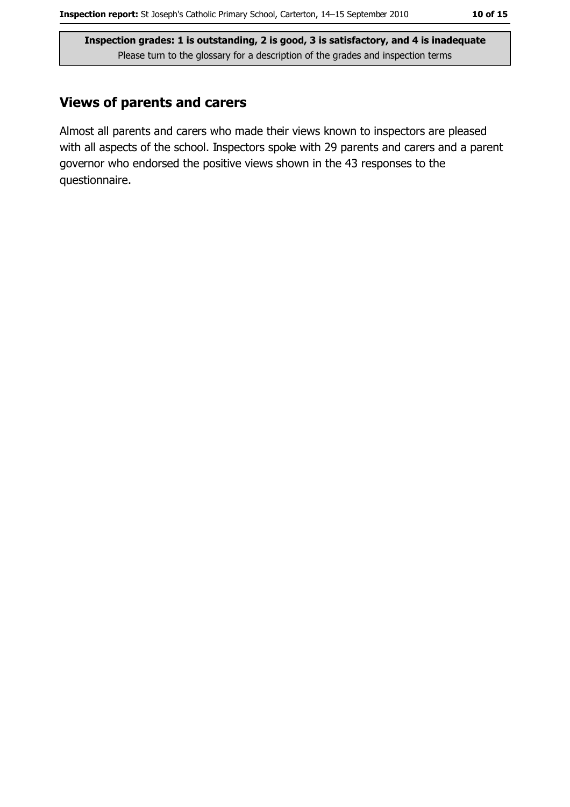## **Views of parents and carers**

Almost all parents and carers who made their views known to inspectors are pleased with all aspects of the school. Inspectors spoke with 29 parents and carers and a parent governor who endorsed the positive views shown in the 43 responses to the questionnaire.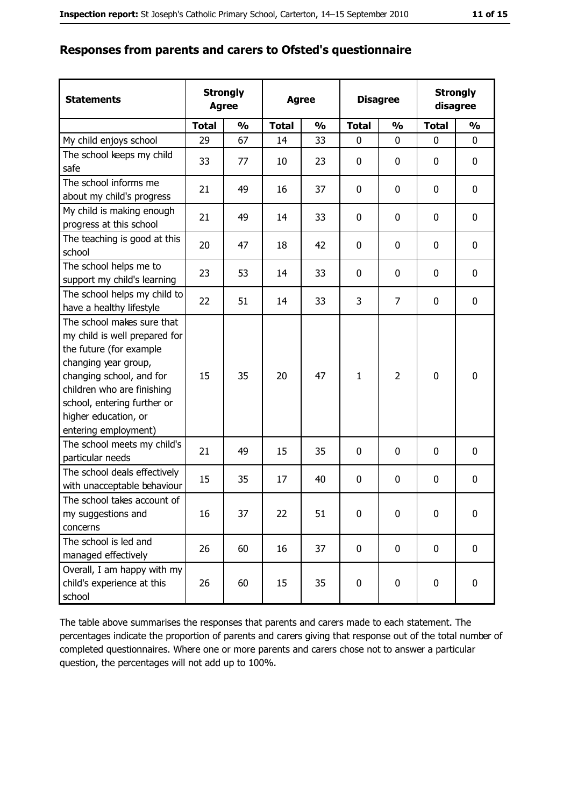#### Responses from parents and carers to Ofsted's questionnaire

| <b>Statements</b>                                                                                                                                                                                                                                       | <b>Strongly</b><br><b>Agree</b> |               | <b>Agree</b> |               |              | <b>Disagree</b> |              | <b>Strongly</b><br>disagree |  |
|---------------------------------------------------------------------------------------------------------------------------------------------------------------------------------------------------------------------------------------------------------|---------------------------------|---------------|--------------|---------------|--------------|-----------------|--------------|-----------------------------|--|
|                                                                                                                                                                                                                                                         | <b>Total</b>                    | $\frac{0}{0}$ | <b>Total</b> | $\frac{0}{0}$ | <b>Total</b> | $\frac{0}{0}$   | <b>Total</b> | $\frac{1}{2}$               |  |
| My child enjoys school                                                                                                                                                                                                                                  | 29                              | 67            | 14           | 33            | $\mathbf 0$  | 0               | 0            | $\mathbf 0$                 |  |
| The school keeps my child<br>safe                                                                                                                                                                                                                       | 33                              | 77            | 10           | 23            | $\mathbf 0$  | 0               | 0            | $\mathbf 0$                 |  |
| The school informs me<br>about my child's progress                                                                                                                                                                                                      | 21                              | 49            | 16           | 37            | 0            | 0               | 0            | $\mathbf 0$                 |  |
| My child is making enough<br>progress at this school                                                                                                                                                                                                    | 21                              | 49            | 14           | 33            | 0            | 0               | 0            | 0                           |  |
| The teaching is good at this<br>school                                                                                                                                                                                                                  | 20                              | 47            | 18           | 42            | 0            | 0               | 0            | $\mathbf 0$                 |  |
| The school helps me to<br>support my child's learning                                                                                                                                                                                                   | 23                              | 53            | 14           | 33            | $\mathbf 0$  | 0               | 0            | 0                           |  |
| The school helps my child to<br>have a healthy lifestyle                                                                                                                                                                                                | 22                              | 51            | 14           | 33            | 3            | $\overline{7}$  | 0            | 0                           |  |
| The school makes sure that<br>my child is well prepared for<br>the future (for example<br>changing year group,<br>changing school, and for<br>children who are finishing<br>school, entering further or<br>higher education, or<br>entering employment) | 15                              | 35            | 20           | 47            | $\mathbf{1}$ | $\overline{2}$  | $\mathbf 0$  | $\mathbf 0$                 |  |
| The school meets my child's<br>particular needs                                                                                                                                                                                                         | 21                              | 49            | 15           | 35            | $\mathbf 0$  | 0               | 0            | $\mathbf 0$                 |  |
| The school deals effectively<br>with unacceptable behaviour                                                                                                                                                                                             | 15                              | 35            | 17           | 40            | $\mathbf 0$  | 0               | 0            | 0                           |  |
| The school takes account of<br>my suggestions and<br>concerns                                                                                                                                                                                           | 16                              | 37            | 22           | 51            | $\mathbf 0$  | 0               | 0            | $\bf{0}$                    |  |
| The school is led and<br>managed effectively                                                                                                                                                                                                            | 26                              | 60            | 16           | 37            | 0            | $\mathbf 0$     | 0            | 0                           |  |
| Overall, I am happy with my<br>child's experience at this<br>school                                                                                                                                                                                     | 26                              | 60            | 15           | 35            | $\pmb{0}$    | 0               | $\mathbf 0$  | 0                           |  |

The table above summarises the responses that parents and carers made to each statement. The percentages indicate the proportion of parents and carers giving that response out of the total number of completed questionnaires. Where one or more parents and carers chose not to answer a particular question, the percentages will not add up to 100%.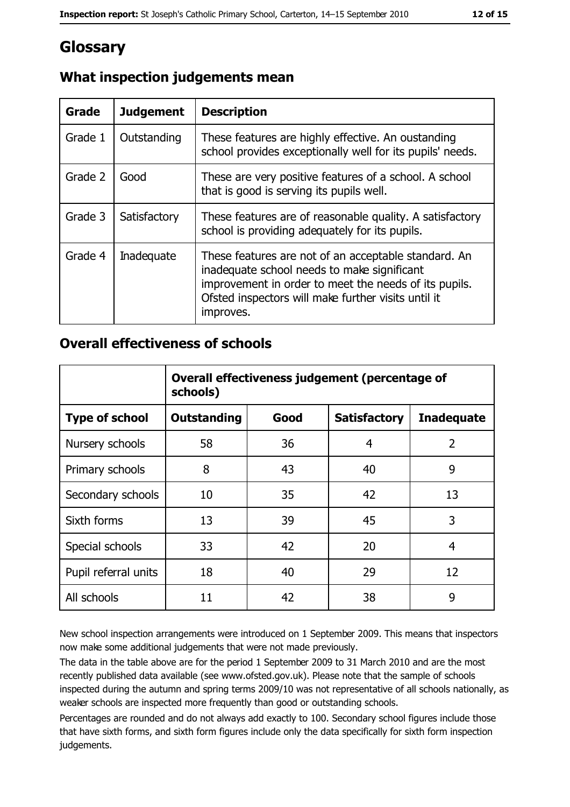# Glossary

| Grade   | <b>Judgement</b> | <b>Description</b>                                                                                                                                                                                                               |
|---------|------------------|----------------------------------------------------------------------------------------------------------------------------------------------------------------------------------------------------------------------------------|
| Grade 1 | Outstanding      | These features are highly effective. An oustanding<br>school provides exceptionally well for its pupils' needs.                                                                                                                  |
| Grade 2 | Good             | These are very positive features of a school. A school<br>that is good is serving its pupils well.                                                                                                                               |
| Grade 3 | Satisfactory     | These features are of reasonable quality. A satisfactory<br>school is providing adequately for its pupils.                                                                                                                       |
| Grade 4 | Inadequate       | These features are not of an acceptable standard. An<br>inadequate school needs to make significant<br>improvement in order to meet the needs of its pupils.<br>Ofsted inspectors will make further visits until it<br>improves. |

# What inspection judgements mean

## **Overall effectiveness of schools**

|                       | Overall effectiveness judgement (percentage of<br>schools) |      |                     |                   |
|-----------------------|------------------------------------------------------------|------|---------------------|-------------------|
| <b>Type of school</b> | <b>Outstanding</b>                                         | Good | <b>Satisfactory</b> | <b>Inadequate</b> |
| Nursery schools       | 58                                                         | 36   | 4                   | $\overline{2}$    |
| Primary schools       | 8                                                          | 43   | 40                  | 9                 |
| Secondary schools     | 10                                                         | 35   | 42                  | 13                |
| Sixth forms           | 13                                                         | 39   | 45                  | 3                 |
| Special schools       | 33                                                         | 42   | 20                  | 4                 |
| Pupil referral units  | 18                                                         | 40   | 29                  | 12                |
| All schools           | 11                                                         | 42   | 38                  | 9                 |

New school inspection arrangements were introduced on 1 September 2009. This means that inspectors now make some additional judgements that were not made previously.

The data in the table above are for the period 1 September 2009 to 31 March 2010 and are the most recently published data available (see www.ofsted.gov.uk). Please note that the sample of schools inspected during the autumn and spring terms 2009/10 was not representative of all schools nationally, as weaker schools are inspected more frequently than good or outstanding schools.

Percentages are rounded and do not always add exactly to 100. Secondary school figures include those that have sixth forms, and sixth form figures include only the data specifically for sixth form inspection judgements.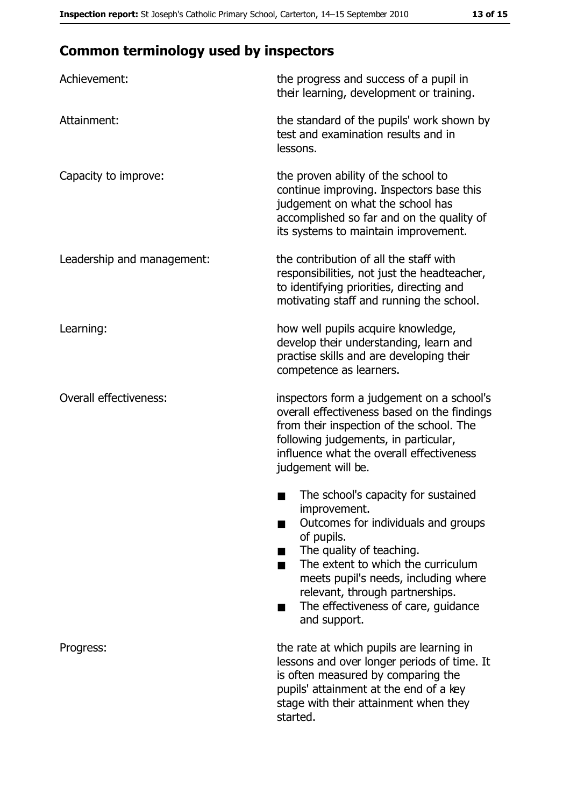# **Common terminology used by inspectors**

| Achievement:                  | the progress and success of a pupil in<br>their learning, development or training.                                                                                                                                                                                                                           |
|-------------------------------|--------------------------------------------------------------------------------------------------------------------------------------------------------------------------------------------------------------------------------------------------------------------------------------------------------------|
| Attainment:                   | the standard of the pupils' work shown by<br>test and examination results and in<br>lessons.                                                                                                                                                                                                                 |
| Capacity to improve:          | the proven ability of the school to<br>continue improving. Inspectors base this<br>judgement on what the school has<br>accomplished so far and on the quality of<br>its systems to maintain improvement.                                                                                                     |
| Leadership and management:    | the contribution of all the staff with<br>responsibilities, not just the headteacher,<br>to identifying priorities, directing and<br>motivating staff and running the school.                                                                                                                                |
| Learning:                     | how well pupils acquire knowledge,<br>develop their understanding, learn and<br>practise skills and are developing their<br>competence as learners.                                                                                                                                                          |
| <b>Overall effectiveness:</b> | inspectors form a judgement on a school's<br>overall effectiveness based on the findings<br>from their inspection of the school. The<br>following judgements, in particular,<br>influence what the overall effectiveness<br>judgement will be.                                                               |
|                               | The school's capacity for sustained<br>improvement.<br>Outcomes for individuals and groups<br>of pupils.<br>The quality of teaching.<br>The extent to which the curriculum<br>meets pupil's needs, including where<br>relevant, through partnerships.<br>The effectiveness of care, guidance<br>and support. |
| Progress:                     | the rate at which pupils are learning in<br>lessons and over longer periods of time. It<br>is often measured by comparing the<br>pupils' attainment at the end of a key<br>stage with their attainment when they<br>started.                                                                                 |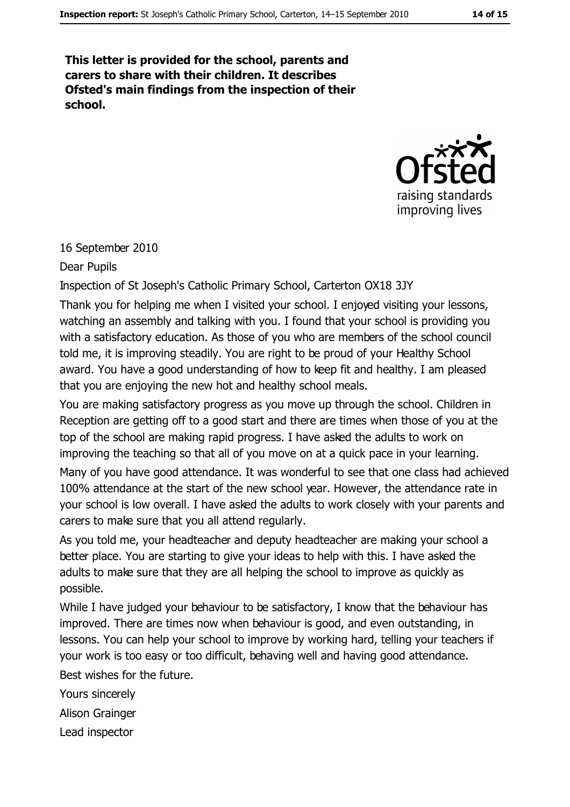This letter is provided for the school, parents and carers to share with their children. It describes Ofsted's main findings from the inspection of their school.



16 September 2010

Dear Pupils

Inspection of St Joseph's Catholic Primary School, Carterton OX18 3JY

Thank you for helping me when I visited your school. I enjoyed visiting your lessons, watching an assembly and talking with you. I found that your school is providing you with a satisfactory education. As those of you who are members of the school council told me, it is improving steadily. You are right to be proud of your Healthy School award. You have a good understanding of how to keep fit and healthy. I am pleased that you are enjoying the new hot and healthy school meals.

You are making satisfactory progress as you move up through the school. Children in Reception are getting off to a good start and there are times when those of you at the top of the school are making rapid progress. I have asked the adults to work on improving the teaching so that all of you move on at a quick pace in your learning.

Many of you have good attendance. It was wonderful to see that one class had achieved 100% attendance at the start of the new school year. However, the attendance rate in your school is low overall. I have asked the adults to work closely with your parents and carers to make sure that you all attend regularly.

As you told me, your headteacher and deputy headteacher are making your school a better place. You are starting to give your ideas to help with this. I have asked the adults to make sure that they are all helping the school to improve as quickly as possible.

While I have judged your behaviour to be satisfactory, I know that the behaviour has improved. There are times now when behaviour is good, and even outstanding, in lessons. You can help your school to improve by working hard, telling your teachers if your work is too easy or too difficult, behaving well and having good attendance.

Best wishes for the future.

Yours sincerely

Alison Grainger

Lead inspector